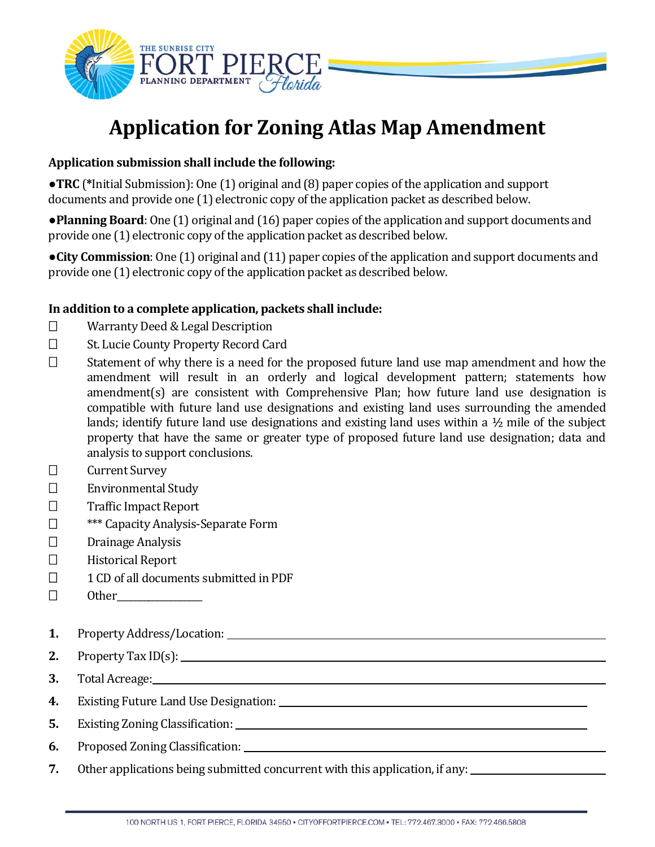

# **Application for Zoning Atlas Map Amendment**

## **Application submission shall include the following:**

●**TRC** (**\***Initial Submission): One (1) original and (8) paper copies of the application and support documents and provide one (1) electronic copy of the application packet as described below.

●**Planning Board**: One (1) original and (16) paper copies of the application and support documents and provide one (1) electronic copy of the application packet as described below.

●**City Commission**: One (1) original and (11) paper copies of the application and support documents and provide one (1) electronic copy of the application packet as described below.

## **In addition to a complete application, packets shall include:**

- □ Warranty Deed & Legal Description
- □ St. Lucie County Property Record Card
- $\Box$  Statement of why there is a need for the proposed future land use map amendment and how the amendment will result in an orderly and logical development pattern; statements how amendment(s) are consistent with Comprehensive Plan; how future land use designation is compatible with future land use designations and existing land uses surrounding the amended lands; identify future land use designations and existing land uses within a ½ mile of the subject property that have the same or greater type of proposed future land use designation; data and analysis to support conclusions.
- Current Survey
- □ Environmental Study
- □ Traffic Impact Report
- □ **\*\*\*** Capacity Analysis-Separate Form
- $\square$  Drainage Analysis
- $\Box$  Historical Report
- $\Box$  1 CD of all documents submitted in PDF
- $\Box$  Other
- **1.** Property Address/Location:
- **2.** Property Tax ID(s):
- **3.** Total Acreage:
- **4.** Existing Future Land Use Designation:
- **5.** Existing Zoning Classification:
- **6.** Proposed Zoning Classification:
- **7.** Other applications being submitted concurrent with this application, if any: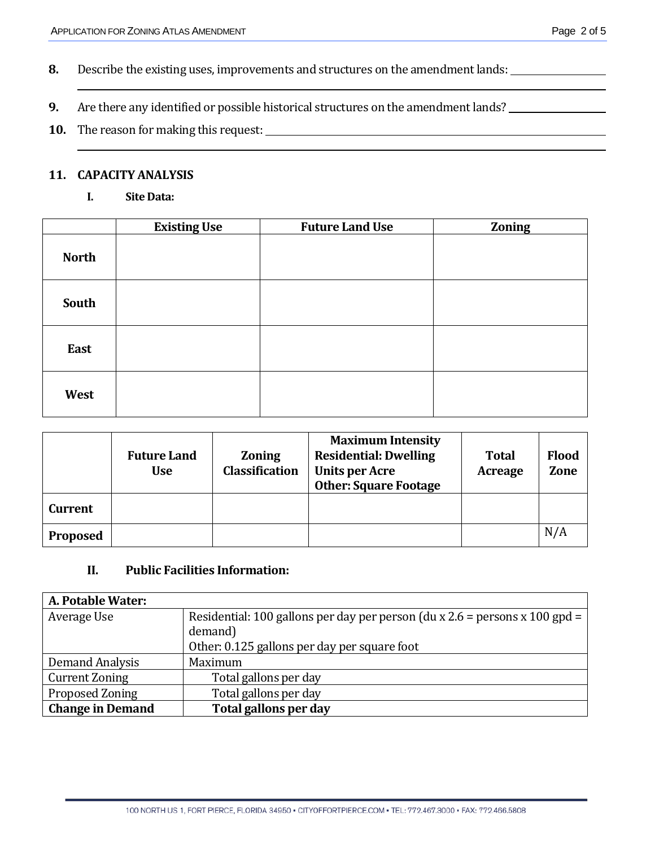- **8.** Describe the existing uses, improvements and structures on the amendment lands:
- **9.** Are there any identified or possible historical structures on the amendment lands?
- **10.** The reason for making this request:

#### **11. CAPACITY ANALYSIS**

**I. Site Data:**

|              | <b>Existing Use</b> | <b>Future Land Use</b> | Zoning |
|--------------|---------------------|------------------------|--------|
| <b>North</b> |                     |                        |        |
| South        |                     |                        |        |
| East         |                     |                        |        |
| West         |                     |                        |        |

|                 | <b>Future Land</b><br><b>Use</b> | <b>Zoning</b><br><b>Classification</b> | <b>Maximum Intensity</b><br><b>Residential: Dwelling</b><br><b>Units per Acre</b><br><b>Other: Square Footage</b> | <b>Total</b><br><b>Acreage</b> | <b>Flood</b><br>Zone |
|-----------------|----------------------------------|----------------------------------------|-------------------------------------------------------------------------------------------------------------------|--------------------------------|----------------------|
| <b>Current</b>  |                                  |                                        |                                                                                                                   |                                |                      |
| <b>Proposed</b> |                                  |                                        |                                                                                                                   |                                | N/A                  |

### **II. Public Facilities Information:**

| A. Potable Water:       |                                                                               |  |
|-------------------------|-------------------------------------------------------------------------------|--|
| Average Use             | Residential: 100 gallons per day per person (du x $2.6$ = persons x 100 gpd = |  |
|                         | demand)                                                                       |  |
|                         | Other: 0.125 gallons per day per square foot                                  |  |
| Demand Analysis         | Maximum                                                                       |  |
| <b>Current Zoning</b>   | Total gallons per day                                                         |  |
| Proposed Zoning         | Total gallons per day                                                         |  |
| <b>Change in Demand</b> | Total gallons per day                                                         |  |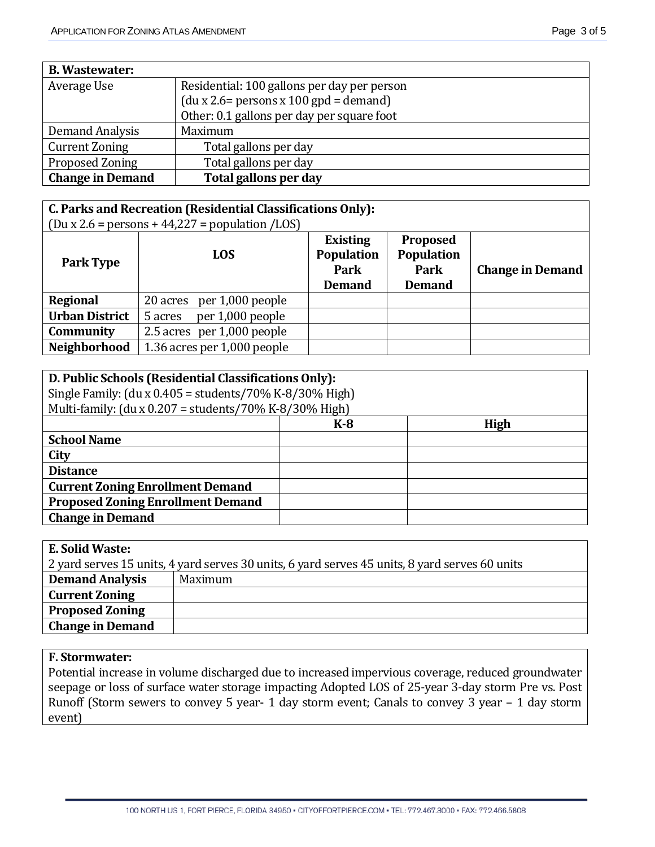| <b>B.</b> Wastewater:   |                                             |
|-------------------------|---------------------------------------------|
| Average Use             | Residential: 100 gallons per day per person |
|                         | $(du x 2.6= persons x 100 gpd = demand)$    |
|                         | Other: 0.1 gallons per day per square foot  |
| Demand Analysis         | Maximum                                     |
| <b>Current Zoning</b>   | Total gallons per day                       |
| Proposed Zoning         | Total gallons per day                       |
| <b>Change in Demand</b> | Total gallons per day                       |

#### **C. Parks and Recreation (Residential Classifications Only):**  $\int$  (Du x 2.6 = persons + 44, 22.7 = population  $\angle$ LOS)

| $PCTOOTO$ $IITO$<br>p        |                                                        |                                                               |                         |
|------------------------------|--------------------------------------------------------|---------------------------------------------------------------|-------------------------|
| <b>LOS</b>                   | <b>Existing</b><br>Population<br>Park<br><b>Demand</b> | <b>Proposed</b><br><b>Population</b><br>Park<br><b>Demand</b> | <b>Change in Demand</b> |
| per 1,000 people<br>20 acres |                                                        |                                                               |                         |
| per 1,000 people<br>5 acres  |                                                        |                                                               |                         |
| 2.5 acres per 1,000 people   |                                                        |                                                               |                         |
| 1.36 acres per 1,000 people  |                                                        |                                                               |                         |
|                              |                                                        |                                                               |                         |

| D. Public Schools (Residential Classifications Only):         |       |      |
|---------------------------------------------------------------|-------|------|
| Single Family: $(du x 0.405 = students / 70\% K-8/30\% High)$ |       |      |
| Multi-family: (du x $0.207$ = students/70% K-8/30% High)      |       |      |
|                                                               | $K-8$ | High |
| <b>School Name</b>                                            |       |      |
| City                                                          |       |      |
| <b>Distance</b>                                               |       |      |
| <b>Current Zoning Enrollment Demand</b>                       |       |      |
| <b>Proposed Zoning Enrollment Demand</b>                      |       |      |
| <b>Change in Demand</b>                                       |       |      |
|                                                               |       |      |

### **F. Stormwater:**

Potential increase in volume discharged due to increased impervious coverage, reduced groundwater seepage or loss of surface water storage impacting Adopted LOS of 25-year 3-day storm Pre vs. Post Runoff (Storm sewers to convey 5 year- 1 day storm event; Canals to convey 3 year – 1 day storm event)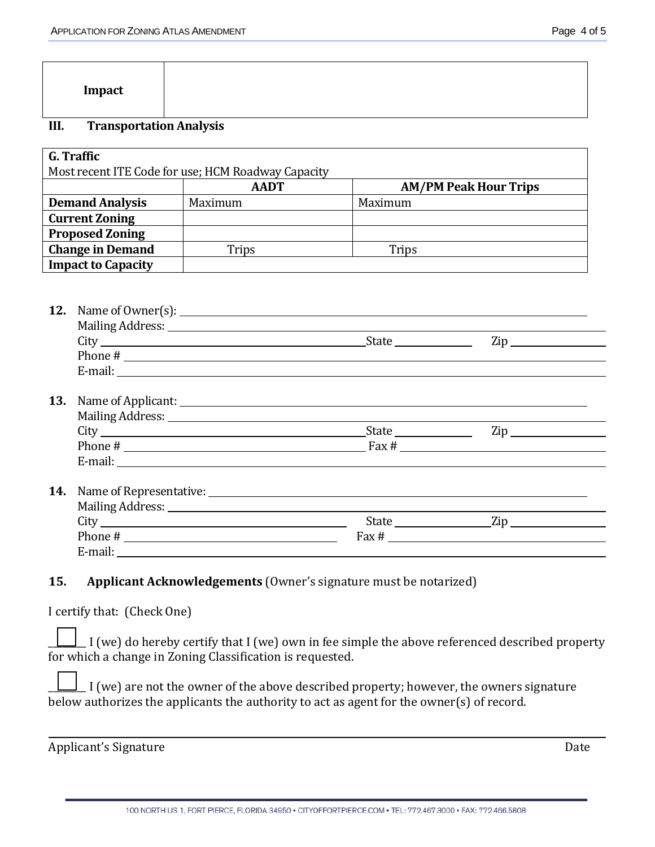| Impact |  |  |
|--------|--|--|
|        |  |  |

## **III. Transportation Analysis**

| G. Traffic                                         |             |                              |  |  |  |
|----------------------------------------------------|-------------|------------------------------|--|--|--|
| Most recent ITE Code for use; HCM Roadway Capacity |             |                              |  |  |  |
|                                                    | <b>AADT</b> | <b>AM/PM Peak Hour Trips</b> |  |  |  |
| <b>Demand Analysis</b>                             | Maximum     | Maximum                      |  |  |  |
| <b>Current Zoning</b>                              |             |                              |  |  |  |
| <b>Proposed Zoning</b>                             |             |                              |  |  |  |
| <b>Change in Demand</b>                            | Trips       | Trips                        |  |  |  |
| <b>Impact to Capacity</b>                          |             |                              |  |  |  |

| 12. |                                                                                                                                                                                                                                |       |                                |  |
|-----|--------------------------------------------------------------------------------------------------------------------------------------------------------------------------------------------------------------------------------|-------|--------------------------------|--|
|     |                                                                                                                                                                                                                                |       | $\mathsf{Zip}\_$               |  |
|     |                                                                                                                                                                                                                                |       |                                |  |
|     | E-mail: No. 1998. The Commission of the Commission of the Commission of the Commission of the Commission of the Commission of the Commission of the Commission of the Commission of the Commission of the Commission of the Co |       |                                |  |
| 13. |                                                                                                                                                                                                                                |       |                                |  |
|     | Mailing Address: 1988 and 2008 and 2008 and 2008 and 2008 and 2008 and 2008 and 2008 and 2008 and 2008 and 200                                                                                                                 |       |                                |  |
|     |                                                                                                                                                                                                                                | State | $\mathsf{Zip} \longrightarrow$ |  |
|     |                                                                                                                                                                                                                                |       |                                |  |
|     | E-mail: <u>E-mail:</u>                                                                                                                                                                                                         |       |                                |  |
|     |                                                                                                                                                                                                                                |       |                                |  |
|     |                                                                                                                                                                                                                                |       |                                |  |
|     |                                                                                                                                                                                                                                |       | State Zip                      |  |

## **15. Applicant Acknowledgements** (Owner's signature must be notarized)

Phone  $\#$  Fax  $\#$ 

E-mail:

I certify that: (Check One)

| $\Box$ I (we) do hereby certify that I (we) own in fee simple the above referenced described property |
|-------------------------------------------------------------------------------------------------------|
| for which a change in Zoning Classification is requested.                                             |

| $\perp$ I (we) are not the owner of the above described property; however, the owners signature |
|-------------------------------------------------------------------------------------------------|
| below authorizes the applicants the authority to act as agent for the owner(s) of record.       |

Applicant's Signature Date